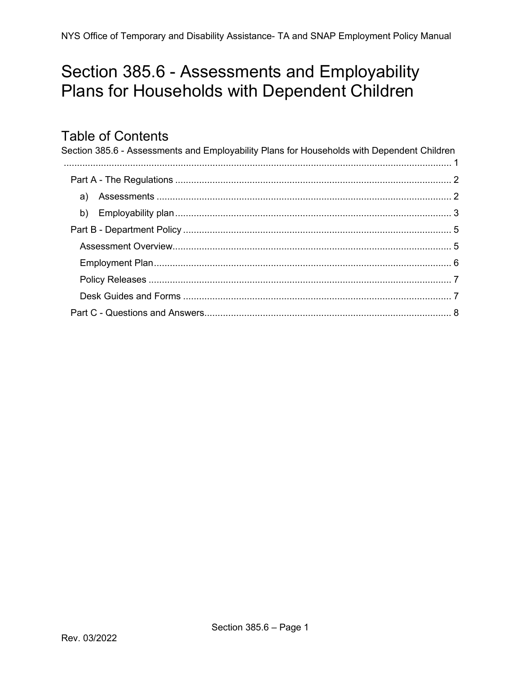# <span id="page-0-0"></span>Section 385.6 - Assessments and Employability Plans for Households with Dependent Children

### **Table of Contents**

<span id="page-0-1"></span>

| Section 385.6 - Assessments and Employability Plans for Households with Dependent Children |  |
|--------------------------------------------------------------------------------------------|--|
|                                                                                            |  |
|                                                                                            |  |
|                                                                                            |  |
|                                                                                            |  |
|                                                                                            |  |
|                                                                                            |  |
|                                                                                            |  |
|                                                                                            |  |
|                                                                                            |  |
|                                                                                            |  |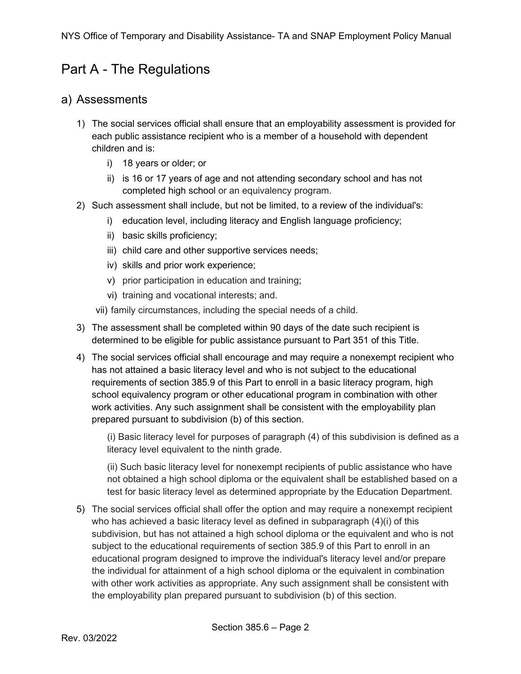### Part A - The Regulations

#### <span id="page-1-0"></span>a) Assessments

- 1) The social services official shall ensure that an employability assessment is provided for each public assistance recipient who is a member of a household with dependent children and is:
	- i) 18 years or older; or
	- ii) is 16 or 17 years of age and not attending secondary school and has not completed high school or an equivalency program.
- 2) Such assessment shall include, but not be limited, to a review of the individual's:
	- i) education level, including literacy and English language proficiency;
	- ii) basic skills proficiency;
	- iii) child care and other supportive services needs;
	- iv) skills and prior work experience;
	- v) prior participation in education and training;
	- vi) training and vocational interests; and.
	- vii) family circumstances, including the special needs of a child.
- 3) The assessment shall be completed within 90 days of the date such recipient is determined to be eligible for public assistance pursuant to Part 351 of this Title.
- 4) The social services official shall encourage and may require a nonexempt recipient who has not attained a basic literacy level and who is not subject to the educational requirements of section 385.9 of this Part to enroll in a basic literacy program, high school equivalency program or other educational program in combination with other work activities. Any such assignment shall be consistent with the employability plan prepared pursuant to subdivision (b) of this section.

(i) Basic literacy level for purposes of paragraph (4) of this subdivision is defined as a literacy level equivalent to the ninth grade.

(ii) Such basic literacy level for nonexempt recipients of public assistance who have not obtained a high school diploma or the equivalent shall be established based on a test for basic literacy level as determined appropriate by the Education Department.

5) The social services official shall offer the option and may require a nonexempt recipient who has achieved a basic literacy level as defined in subparagraph  $(4)(i)$  of this subdivision, but has not attained a high school diploma or the equivalent and who is not subject to the educational requirements of section 385.9 of this Part to enroll in an educational program designed to improve the individual's literacy level and/or prepare the individual for attainment of a high school diploma or the equivalent in combination with other work activities as appropriate. Any such assignment shall be consistent with the employability plan prepared pursuant to subdivision (b) of this section.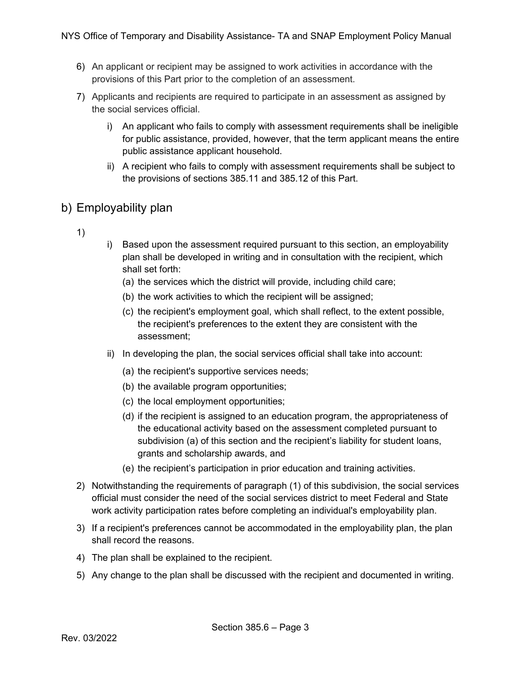- 6) An applicant or recipient may be assigned to work activities in accordance with the provisions of this Part prior to the completion of an assessment.
- 7) Applicants and recipients are required to participate in an assessment as assigned by the social services official.
	- i) An applicant who fails to comply with assessment requirements shall be ineligible for public assistance, provided, however, that the term applicant means the entire public assistance applicant household.
	- ii) A recipient who fails to comply with assessment requirements shall be subject to the provisions of sections 385.11 and 385.12 of this Part.

### <span id="page-2-0"></span>b) Employability plan

- 1)
- i) Based upon the assessment required pursuant to this section, an employability plan shall be developed in writing and in consultation with the recipient, which shall set forth:
	- (a) the services which the district will provide, including child care;
	- (b) the work activities to which the recipient will be assigned;
	- (c) the recipient's employment goal, which shall reflect, to the extent possible, the recipient's preferences to the extent they are consistent with the assessment;
- ii) In developing the plan, the social services official shall take into account:
	- (a) the recipient's supportive services needs;
	- (b) the available program opportunities;
	- (c) the local employment opportunities;
	- (d) if the recipient is assigned to an education program, the appropriateness of the educational activity based on the assessment completed pursuant to subdivision (a) of this section and the recipient's liability for student loans, grants and scholarship awards, and
	- (e) the recipient's participation in prior education and training activities.
- 2) Notwithstanding the requirements of paragraph (1) of this subdivision, the social services official must consider the need of the social services district to meet Federal and State work activity participation rates before completing an individual's employability plan.
- 3) If a recipient's preferences cannot be accommodated in the employability plan, the plan shall record the reasons.
- 4) The plan shall be explained to the recipient.
- 5) Any change to the plan shall be discussed with the recipient and documented in writing.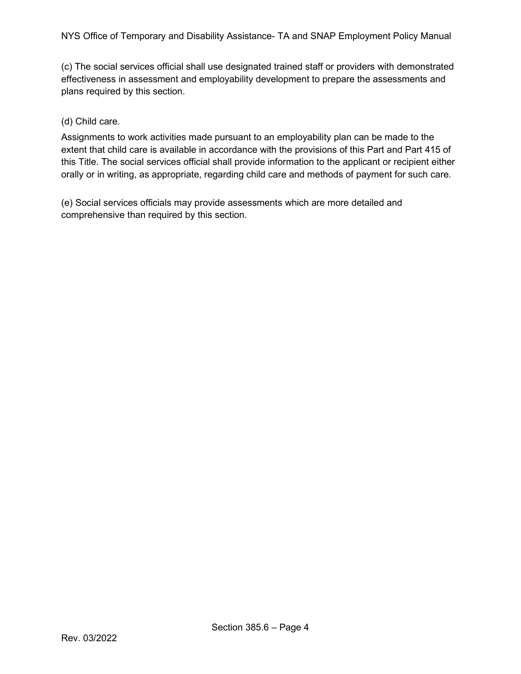(c) The social services official shall use designated trained staff or providers with demonstrated effectiveness in assessment and employability development to prepare the assessments and plans required by this section.

#### (d) Child care.

Assignments to work activities made pursuant to an employability plan can be made to the extent that child care is available in accordance with the provisions of this Part and Part 415 of this Title. The social services official shall provide information to the applicant or recipient either orally or in writing, as appropriate, regarding child care and methods of payment for such care.

(e) Social services officials may provide assessments which are more detailed and comprehensive than required by this section.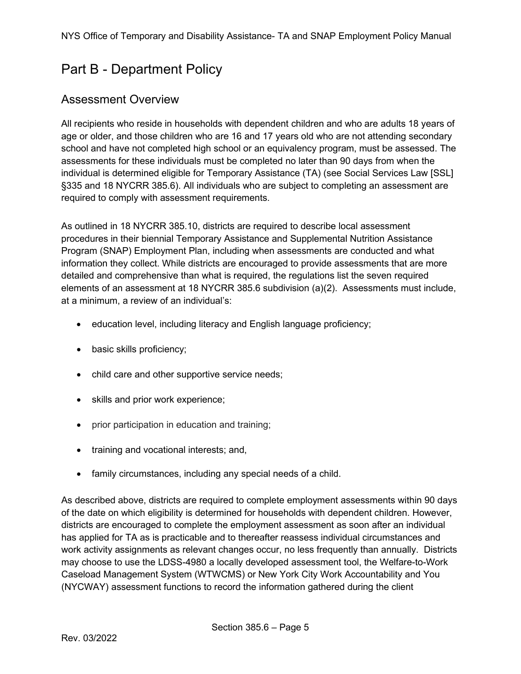## <span id="page-4-0"></span>Part B - Department Policy

### <span id="page-4-1"></span>Assessment Overview

All recipients who reside in households with dependent children and who are adults 18 years of age or older, and those children who are 16 and 17 years old who are not attending secondary school and have not completed high school or an equivalency program, must be assessed. The assessments for these individuals must be completed no later than 90 days from when the individual is determined eligible for Temporary Assistance (TA) (see Social Services Law [SSL] §335 and 18 NYCRR 385.6). All individuals who are subject to completing an assessment are required to comply with assessment requirements.

As outlined in 18 NYCRR 385.10, districts are required to describe local assessment procedures in their biennial Temporary Assistance and Supplemental Nutrition Assistance Program (SNAP) Employment Plan, including when assessments are conducted and what information they collect. While districts are encouraged to provide assessments that are more detailed and comprehensive than what is required, the regulations list the seven required elements of an assessment at 18 NYCRR 385.6 subdivision (a)(2). Assessments must include, at a minimum, a review of an individual's:

- education level, including literacy and English language proficiency;
- basic skills proficiency;
- child care and other supportive service needs;
- skills and prior work experience;
- prior participation in education and training;
- training and vocational interests; and,
- family circumstances, including any special needs of a child.

As described above, districts are required to complete employment assessments within 90 days of the date on which eligibility is determined for households with dependent children. However, districts are encouraged to complete the employment assessment as soon after an individual has applied for TA as is practicable and to thereafter reassess individual circumstances and work activity assignments as relevant changes occur, no less frequently than annually. Districts may choose to use the LDSS-4980 a locally developed assessment tool, the Welfare-to-Work Caseload Management System (WTWCMS) or New York City Work Accountability and You (NYCWAY) assessment functions to record the information gathered during the client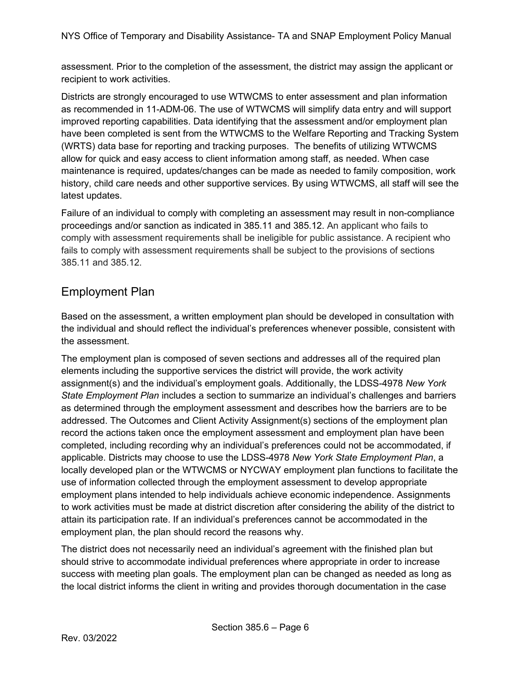assessment. Prior to the completion of the assessment, the district may assign the applicant or recipient to work activities.

Districts are strongly encouraged to use WTWCMS to enter assessment and plan information as recommended in 11-ADM-06. The use of WTWCMS will simplify data entry and will support improved reporting capabilities. Data identifying that the assessment and/or employment plan have been completed is sent from the WTWCMS to the Welfare Reporting and Tracking System (WRTS) data base for reporting and tracking purposes. The benefits of utilizing WTWCMS allow for quick and easy access to client information among staff, as needed. When case maintenance is required, updates/changes can be made as needed to family composition, work history, child care needs and other supportive services. By using WTWCMS, all staff will see the latest updates.

Failure of an individual to comply with completing an assessment may result in non-compliance proceedings and/or sanction as indicated in 385.11 and 385.12. An applicant who fails to comply with assessment requirements shall be ineligible for public assistance. A recipient who fails to comply with assessment requirements shall be subject to the provisions of sections 385.11 and 385.12.

### <span id="page-5-0"></span>Employment Plan

Based on the assessment, a written employment plan should be developed in consultation with the individual and should reflect the individual's preferences whenever possible, consistent with the assessment.

The employment plan is composed of seven sections and addresses all of the required plan elements including the supportive services the district will provide, the work activity assignment(s) and the individual's employment goals. Additionally, the LDSS-4978 *New York State Employment Plan* includes a section to summarize an individual's challenges and barriers as determined through the employment assessment and describes how the barriers are to be addressed. The Outcomes and Client Activity Assignment(s) sections of the employment plan record the actions taken once the employment assessment and employment plan have been completed, including recording why an individual's preferences could not be accommodated, if applicable. Districts may choose to use the LDSS-4978 *New York State Employment Plan*, a locally developed plan or the WTWCMS or NYCWAY employment plan functions to facilitate the use of information collected through the employment assessment to develop appropriate employment plans intended to help individuals achieve economic independence. Assignments to work activities must be made at district discretion after considering the ability of the district to attain its participation rate. If an individual's preferences cannot be accommodated in the employment plan, the plan should record the reasons why.

The district does not necessarily need an individual's agreement with the finished plan but should strive to accommodate individual preferences where appropriate in order to increase success with meeting plan goals. The employment plan can be changed as needed as long as the local district informs the client in writing and provides thorough documentation in the case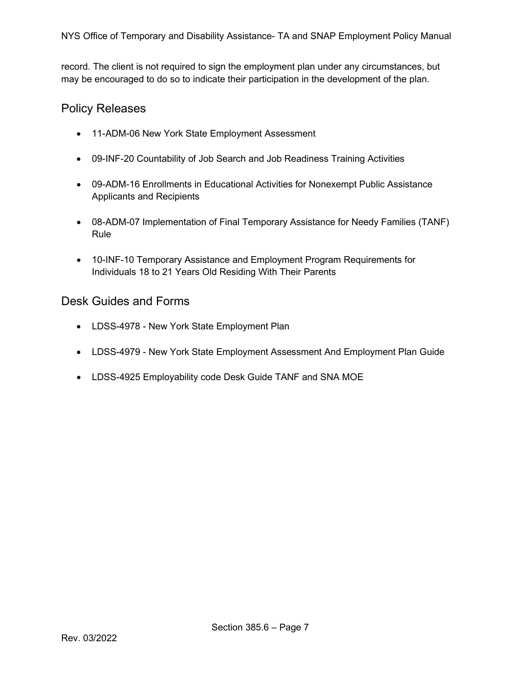record. The client is not required to sign the employment plan under any circumstances, but may be encouraged to do so to indicate their participation in the development of the plan.

#### <span id="page-6-0"></span>Policy Releases

- 11-ADM-06 New York State Employment Assessment
- 09-INF-20 Countability of Job Search and Job Readiness Training Activities
- [09-ADM-16](http://otda.ny.gov/policy/directives/2009/ADM/09-ADM-16.pdf) Enrollments in Educational Activities for Nonexempt Public Assistance Applicants and Recipients
- [08-ADM-07](http://otda.ny.gov/policy/directives/2008/ADM/08-ADM-07.pdf) Implementation of Final Temporary Assistance for Needy Families (TANF) Rule
- 10-INF-10 Temporary Assistance and Employment Program Requirements for Individuals 18 to 21 Years Old Residing With Their Parents

#### <span id="page-6-1"></span>Desk Guides and Forms

- LDSS[-4978 New York State Employment Plan](http://otda.state.nyenet/ldss_eforms/eforms/4978.pdf)
- LDSS-4979 New York [State Employment Assessment And](http://otda.state.nyenet/ldss_eforms/eforms/4979.pdf) Employment Plan Guide
- [LDSS-4925](http://otda.state.nyenet/ldss_eforms/eforms/4925.pdf) Employability code Desk Guide TANF and SNA MOE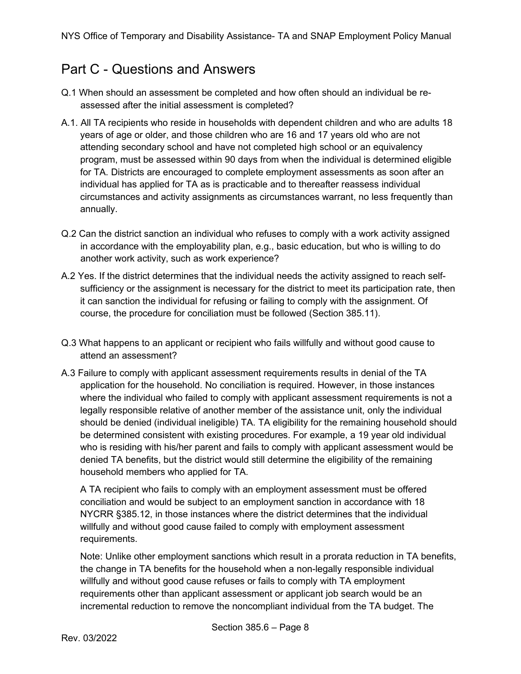### <span id="page-7-0"></span>Part C - Questions and Answers

- Q.1 When should an assessment be completed and how often should an individual be reassessed after the initial assessment is completed?
- A.1. All TA recipients who reside in households with dependent children and who are adults 18 years of age or older, and those children who are 16 and 17 years old who are not attending secondary school and have not completed high school or an equivalency program, must be assessed within 90 days from when the individual is determined eligible for TA. Districts are encouraged to complete employment assessments as soon after an individual has applied for TA as is practicable and to thereafter reassess individual circumstances and activity assignments as circumstances warrant, no less frequently than annually.
- Q.2 Can the district sanction an individual who refuses to comply with a work activity assigned in accordance with the employability plan, e.g., basic education, but who is willing to do another work activity, such as work experience?
- A.2 Yes. If the district determines that the individual needs the activity assigned to reach selfsufficiency or the assignment is necessary for the district to meet its participation rate, then it can sanction the individual for refusing or failing to comply with the assignment. Of course, the procedure for conciliation must be followed (Section 385.11).
- Q.3 What happens to an applicant or recipient who fails willfully and without good cause to attend an assessment?
- A.3 Failure to comply with applicant assessment requirements results in denial of the TA application for the household. No conciliation is required. However, in those instances where the individual who failed to comply with applicant assessment requirements is not a legally responsible relative of another member of the assistance unit, only the individual should be denied (individual ineligible) TA. TA eligibility for the remaining household should be determined consistent with existing procedures. For example, a 19 year old individual who is residing with his/her parent and fails to comply with applicant assessment would be denied TA benefits, but the district would still determine the eligibility of the remaining household members who applied for TA.

A TA recipient who fails to comply with an employment assessment must be offered conciliation and would be subject to an employment sanction in accordance with 18 NYCRR §385.12, in those instances where the district determines that the individual willfully and without good cause failed to comply with employment assessment requirements.

Note: Unlike other employment sanctions which result in a prorata reduction in TA benefits, the change in TA benefits for the household when a non-legally responsible individual willfully and without good cause refuses or fails to comply with TA employment requirements other than applicant assessment or applicant job search would be an incremental reduction to remove the noncompliant individual from the TA budget. The